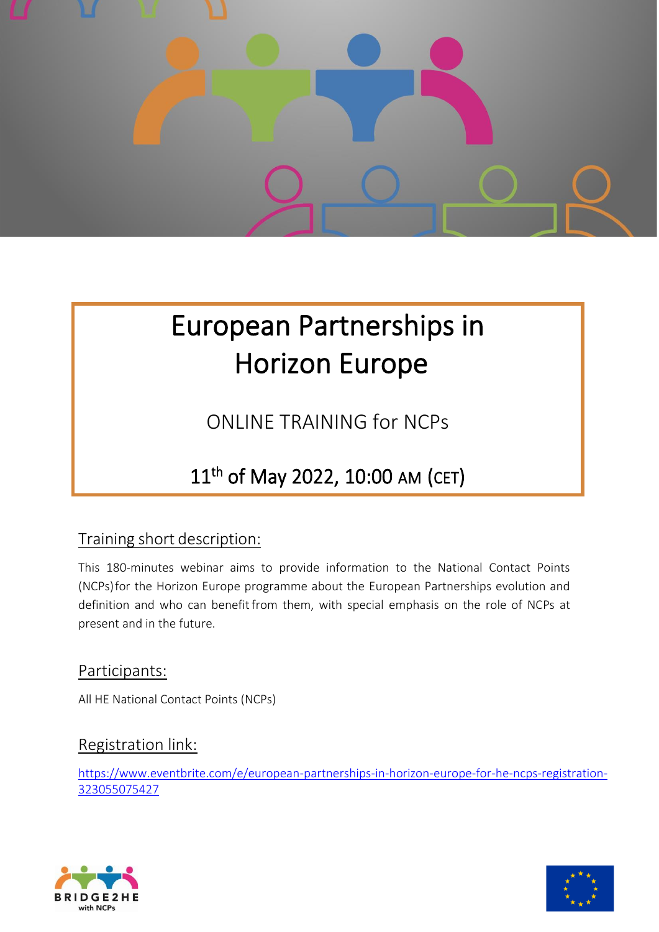

# European Partnerships in Horizon Europe

ONLINE TRAINING for NCPs

## 11th of May 2022, 10:00 AM (CET)

### Training short description:

This 180-minutes webinar aims to provide information to the National Contact Points (NCPs)for the Horizon Europe programme about the European Partnerships evolution and definition and who can benefit from them, with special emphasis on the role of NCPs at present and in the future.

Participants:

All HE National Contact Points (NCPs)

#### Registration link:

[https://www.eventbrite.com/e/european-partnerships-in-horizon-europe-for-he-ncps-registration-](https://www.eventbrite.com/e/european-partnerships-in-horizon-europe-for-he-ncps-registration-323055075427)[323055075427](https://www.eventbrite.com/e/european-partnerships-in-horizon-europe-for-he-ncps-registration-323055075427)



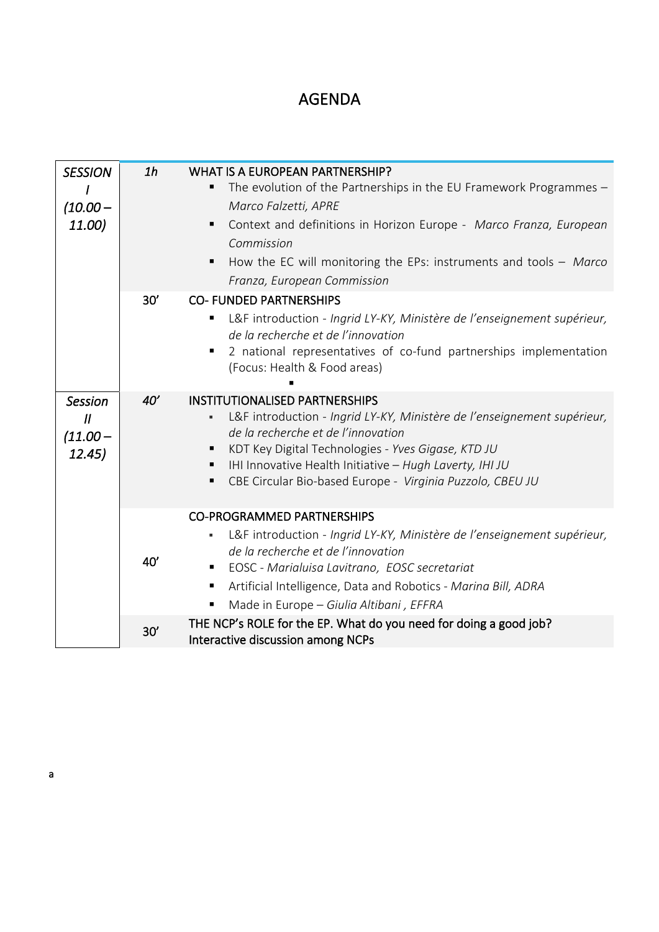## AGENDA

| <b>SESSION</b><br>$(10.00 -$<br>11.00)                     | 1 <sub>h</sub> | <b>WHAT IS A EUROPEAN PARTNERSHIP?</b><br>The evolution of the Partnerships in the EU Framework Programmes -<br>Marco Falzetti, APRE<br>Context and definitions in Horizon Europe - Marco Franza, European<br>٠<br>Commission<br>How the EC will monitoring the EPs: instruments and tools $-$ Marco<br>Franza, European Commission  |
|------------------------------------------------------------|----------------|--------------------------------------------------------------------------------------------------------------------------------------------------------------------------------------------------------------------------------------------------------------------------------------------------------------------------------------|
|                                                            | 30'            | <b>CO- FUNDED PARTNERSHIPS</b><br>L&F introduction - Ingrid LY-KY, Ministère de l'enseignement supérieur,<br>de la recherche et de l'innovation<br>2 national representatives of co-fund partnerships implementation<br>(Focus: Health & Food areas)                                                                                 |
| <b>Session</b><br>$\boldsymbol{H}$<br>$(11.00 -$<br>12.45) | 40'            | <b>INSTITUTIONALISED PARTNERSHIPS</b><br>L&F introduction - Ingrid LY-KY, Ministère de l'enseignement supérieur,<br>de la recherche et de l'innovation<br>KDT Key Digital Technologies - Yves Gigase, KTD JU<br>IHI Innovative Health Initiative - Hugh Laverty, IHI JU<br>CBE Circular Bio-based Europe - Virginia Puzzolo, CBEU JU |
|                                                            | 40'            | <b>CO-PROGRAMMED PARTNERSHIPS</b><br>L&F introduction - Ingrid LY-KY, Ministère de l'enseignement supérieur,<br>٠<br>de la recherche et de l'innovation<br>EOSC - Marialuisa Lavitrano, EOSC secretariat<br>Artificial Intelligence, Data and Robotics - Marina Bill, ADRA<br>Made in Europe - Giulia Altibani, EFFRA<br>п           |
|                                                            | 30'            | THE NCP's ROLE for the EP. What do you need for doing a good job?<br>Interactive discussion among NCPs                                                                                                                                                                                                                               |